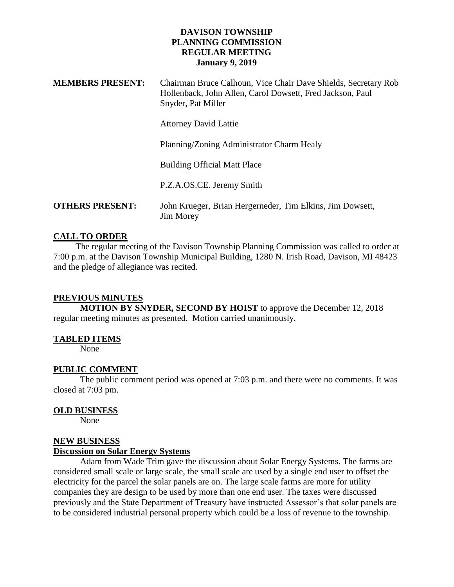#### **DAVISON TOWNSHIP PLANNING COMMISSION REGULAR MEETING January 9, 2019**

| <b>MEMBERS PRESENT:</b> | Chairman Bruce Calhoun, Vice Chair Dave Shields, Secretary Rob<br>Hollenback, John Allen, Carol Dowsett, Fred Jackson, Paul<br>Snyder, Pat Miller |
|-------------------------|---------------------------------------------------------------------------------------------------------------------------------------------------|
|                         | <b>Attorney David Lattie</b>                                                                                                                      |
|                         | Planning/Zoning Administrator Charm Healy                                                                                                         |
|                         | <b>Building Official Matt Place</b>                                                                                                               |
|                         | P.Z.A.OS.CE. Jeremy Smith                                                                                                                         |
| <b>OTHERS PRESENT:</b>  | John Krueger, Brian Hergerneder, Tim Elkins, Jim Dowsett,<br><b>Jim Morey</b>                                                                     |

# **CALL TO ORDER**

 The regular meeting of the Davison Township Planning Commission was called to order at 7:00 p.m. at the Davison Township Municipal Building, 1280 N. Irish Road, Davison, MI 48423 and the pledge of allegiance was recited.

# **PREVIOUS MINUTES**

**MOTION BY SNYDER, SECOND BY HOIST** to approve the December 12, 2018 regular meeting minutes as presented. Motion carried unanimously.

# **TABLED ITEMS**

None

# **PUBLIC COMMENT**

The public comment period was opened at 7:03 p.m. and there were no comments. It was closed at 7:03 pm.

# **OLD BUSINESS**

None

# **NEW BUSINESS**

#### **Discussion on Solar Energy Systems**

Adam from Wade Trim gave the discussion about Solar Energy Systems. The farms are considered small scale or large scale, the small scale are used by a single end user to offset the electricity for the parcel the solar panels are on. The large scale farms are more for utility companies they are design to be used by more than one end user. The taxes were discussed previously and the State Department of Treasury have instructed Assessor's that solar panels are to be considered industrial personal property which could be a loss of revenue to the township.